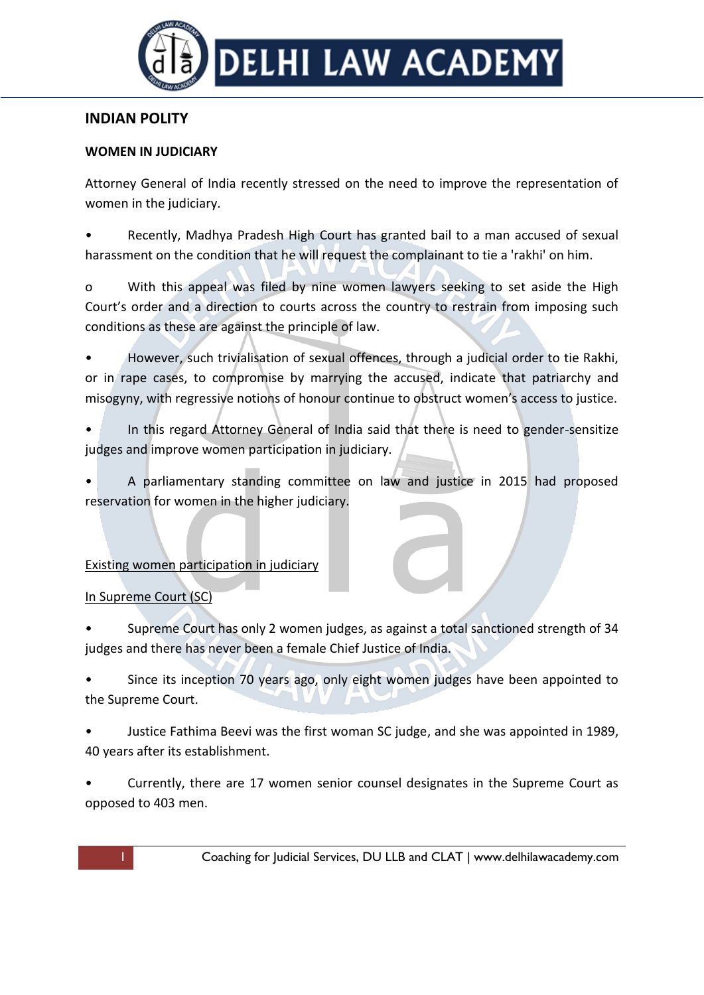

# **INDIAN POLITY**

### **WOMEN IN JUDICIARY**

Attorney General of India recently stressed on the need to improve the representation of women in the judiciary.

• Recently, Madhya Pradesh High Court has granted bail to a man accused of sexual harassment on the condition that he will request the complainant to tie a 'rakhi' on him.

o With this appeal was filed by nine women lawyers seeking to set aside the High Court's order and a direction to courts across the country to restrain from imposing such conditions as these are against the principle of law.

• However, such trivialisation of sexual offences, through a judicial order to tie Rakhi, or in rape cases, to compromise by marrying the accused, indicate that patriarchy and misogyny, with regressive notions of honour continue to obstruct women's access to justice.

In this regard Attorney General of India said that there is need to gender-sensitize judges and improve women participation in judiciary.

• A parliamentary standing committee on law and justice in 2015 had proposed reservation for women in the higher judiciary.

## Existing women participation in judiciary

## In Supreme Court (SC)

• Supreme Court has only 2 women judges, as against a total sanctioned strength of 34 judges and there has never been a female Chief Justice of India.

Since its inception 70 years ago, only eight women judges have been appointed to the Supreme Court.

• Justice Fathima Beevi was the first woman SC judge, and she was appointed in 1989, 40 years after its establishment.

• Currently, there are 17 women senior counsel designates in the Supreme Court as opposed to 403 men.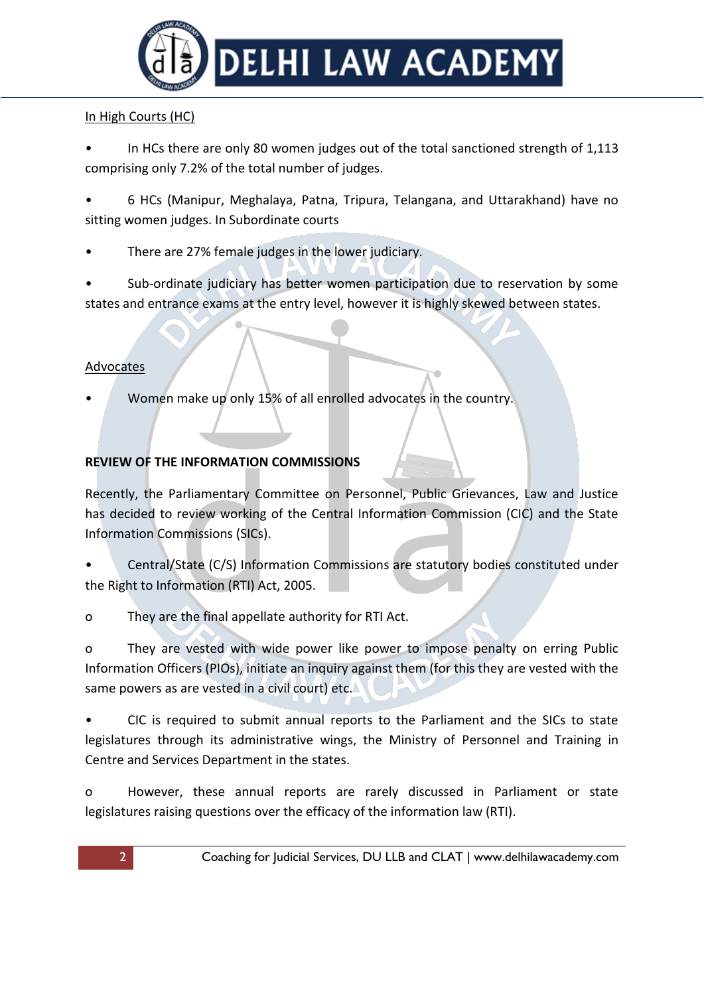

## In High Courts (HC)

In HCs there are only 80 women judges out of the total sanctioned strength of 1,113 comprising only 7.2% of the total number of judges.

• 6 HCs (Manipur, Meghalaya, Patna, Tripura, Telangana, and Uttarakhand) have no sitting women judges. In Subordinate courts

- There are 27% female judges in the lower judiciary.
- Sub-ordinate judiciary has better women participation due to reservation by some states and entrance exams at the entry level, however it is highly skewed between states.

## Advocates

• Women make up only 15% of all enrolled advocates in the country.

## **REVIEW OF THE INFORMATION COMMISSIONS**

Recently, the Parliamentary Committee on Personnel, Public Grievances, Law and Justice has decided to review working of the Central Information Commission (CIC) and the State Information Commissions (SICs).

• Central/State (C/S) Information Commissions are statutory bodies constituted under the Right to Information (RTI) Act, 2005.

o They are the final appellate authority for RTI Act.

o They are vested with wide power like power to impose penalty on erring Public Information Officers (PIOs), initiate an inquiry against them (for this they are vested with the same powers as are vested in a civil court) etc.

• CIC is required to submit annual reports to the Parliament and the SICs to state legislatures through its administrative wings, the Ministry of Personnel and Training in Centre and Services Department in the states.

o However, these annual reports are rarely discussed in Parliament or state legislatures raising questions over the efficacy of the information law (RTI).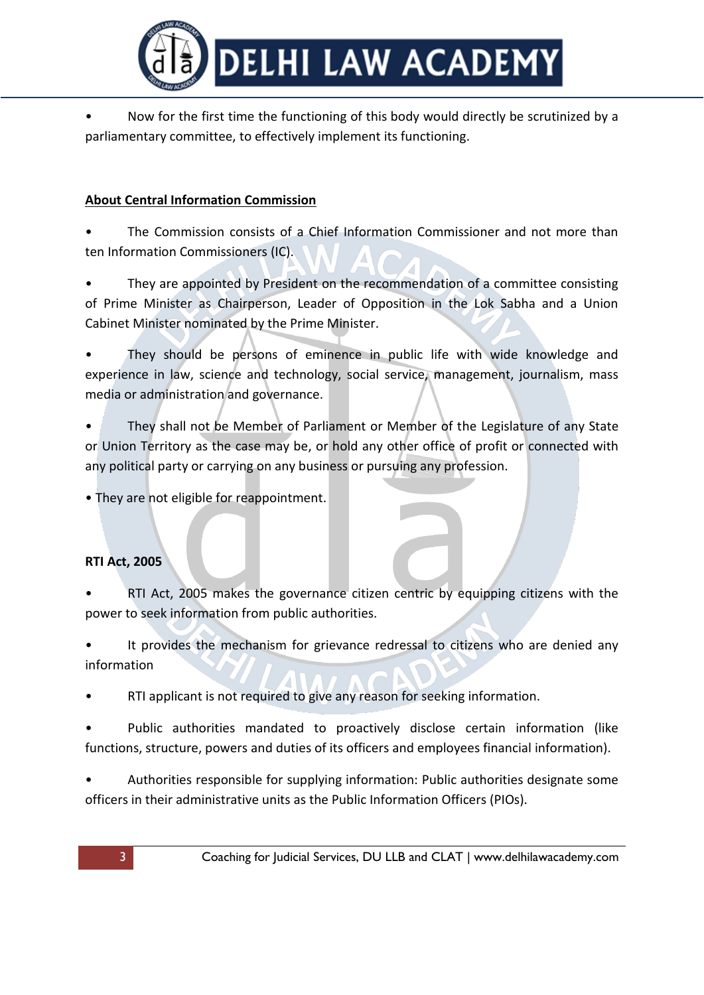

• Now for the first time the functioning of this body would directly be scrutinized by a parliamentary committee, to effectively implement its functioning.

## **About Central Information Commission**

• The Commission consists of a Chief Information Commissioner and not more than ten Information Commissioners (IC).

They are appointed by President on the recommendation of a committee consisting of Prime Minister as Chairperson, Leader of Opposition in the Lok Sabha and a Union Cabinet Minister nominated by the Prime Minister.

They should be persons of eminence in public life with wide knowledge and experience in law, science and technology, social service, management, journalism, mass media or administration and governance.

They shall not be Member of Parliament or Member of the Legislature of any State or Union Territory as the case may be, or hold any other office of profit or connected with any political party or carrying on any business or pursuing any profession.

• They are not eligible for reappointment.

## **RTI Act, 2005**

• RTI Act, 2005 makes the governance citizen centric by equipping citizens with the power to seek information from public authorities.

It provides the mechanism for grievance redressal to citizens who are denied any information

• RTI applicant is not required to give any reason for seeking information.

• Public authorities mandated to proactively disclose certain information (like functions, structure, powers and duties of its officers and employees financial information).

• Authorities responsible for supplying information: Public authorities designate some officers in their administrative units as the Public Information Officers (PIOs).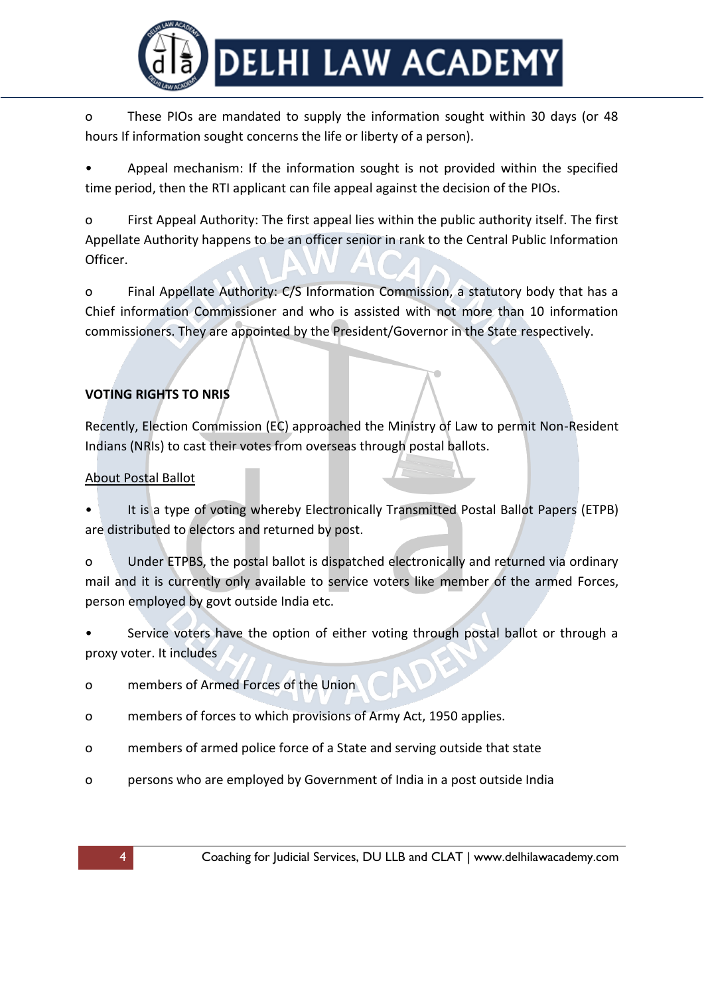

o These PIOs are mandated to supply the information sought within 30 days (or 48 hours If information sought concerns the life or liberty of a person).

Appeal mechanism: If the information sought is not provided within the specified time period, then the RTI applicant can file appeal against the decision of the PIOs.

o First Appeal Authority: The first appeal lies within the public authority itself. The first Appellate Authority happens to be an officer senior in rank to the Central Public Information Officer.

o Final Appellate Authority: C/S Information Commission, a statutory body that has a Chief information Commissioner and who is assisted with not more than 10 information commissioners. They are appointed by the President/Governor in the State respectively.

# **VOTING RIGHTS TO NRIS**

Recently, Election Commission (EC) approached the Ministry of Law to permit Non-Resident Indians (NRIs) to cast their votes from overseas through postal ballots.

## About Postal Ballot

It is a type of voting whereby Electronically Transmitted Postal Ballot Papers (ETPB) are distributed to electors and returned by post.

o Under ETPBS, the postal ballot is dispatched electronically and returned via ordinary mail and it is currently only available to service voters like member of the armed Forces, person employed by govt outside India etc.

Service voters have the option of either voting through postal ballot or through a proxy voter. It includes

- o members of Armed Forces of the Union
- o members of forces to which provisions of Army Act, 1950 applies.
- o members of armed police force of a State and serving outside that state
- o persons who are employed by Government of India in a post outside India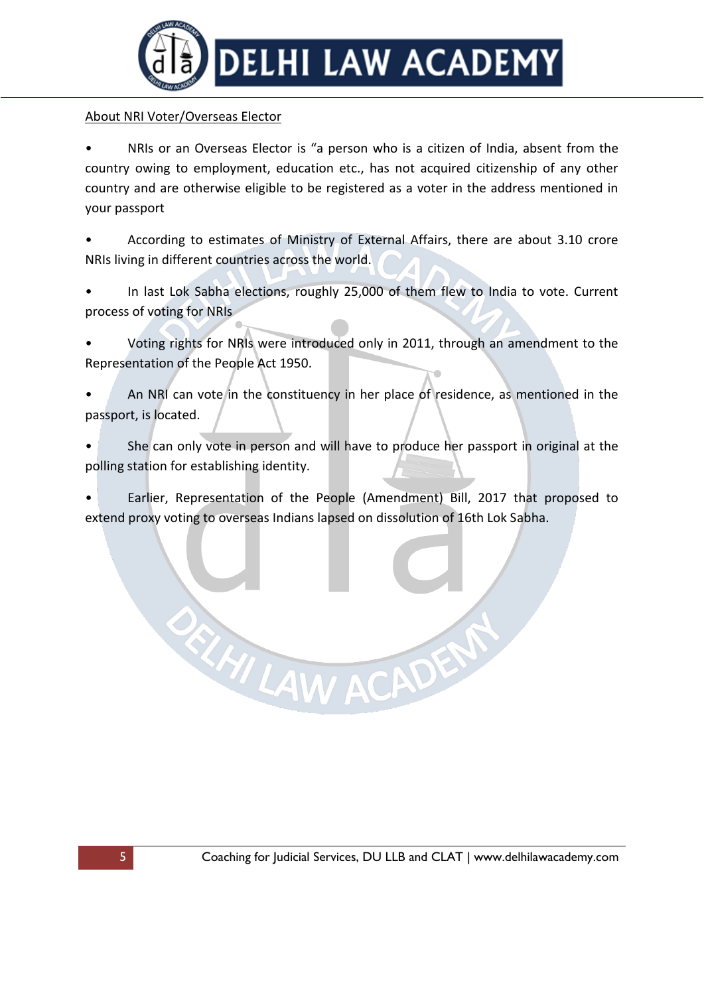

#### About NRI Voter/Overseas Elector

NRIs or an Overseas Elector is "a person who is a citizen of India, absent from the country owing to employment, education etc., has not acquired citizenship of any other country and are otherwise eligible to be registered as a voter in the address mentioned in your passport

• According to estimates of Ministry of External Affairs, there are about 3.10 crore NRIs living in different countries across the world.

• In last Lok Sabha elections, roughly 25,000 of them flew to India to vote. Current process of voting for NRIs

• Voting rights for NRIs were introduced only in 2011, through an amendment to the Representation of the People Act 1950.

• An NRI can vote in the constituency in her place of residence, as mentioned in the passport, is located.

• She can only vote in person and will have to produce her passport in original at the polling station for establishing identity.

• Earlier, Representation of the People (Amendment) Bill, 2017 that proposed to extend proxy voting to overseas Indians lapsed on dissolution of 16th Lok Sabha.

EZHI LAW ACADENT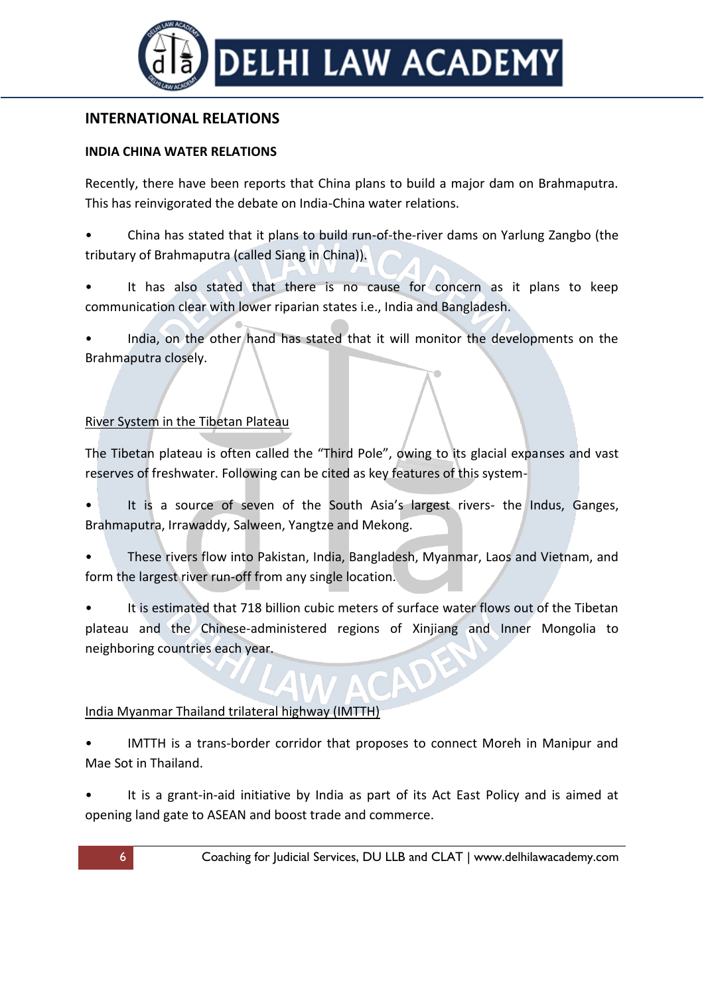

## **INTERNATIONAL RELATIONS**

#### **INDIA CHINA WATER RELATIONS**

Recently, there have been reports that China plans to build a major dam on Brahmaputra. This has reinvigorated the debate on India-China water relations.

- China has stated that it plans to build run-of-the-river dams on Yarlung Zangbo (the tributary of Brahmaputra (called Siang in China)).
- It has also stated that there is no cause for concern as it plans to keep communication clear with lower riparian states i.e., India and Bangladesh.

• India, on the other hand has stated that it will monitor the developments on the Brahmaputra closely.

## River System in the Tibetan Plateau

The Tibetan plateau is often called the "Third Pole", owing to its glacial expanses and vast reserves of freshwater. Following can be cited as key features of this system-

- It is a source of seven of the South Asia's largest rivers- the Indus, Ganges, Brahmaputra, Irrawaddy, Salween, Yangtze and Mekong.
- These rivers flow into Pakistan, India, Bangladesh, Myanmar, Laos and Vietnam, and form the largest river run-off from any single location.
- It is estimated that 718 billion cubic meters of surface water flows out of the Tibetan plateau and the Chinese-administered regions of Xinjiang and Inner Mongolia to neighboring countries each year.

## India Myanmar Thailand trilateral highway (IMTTH)

- IMTTH is a trans-border corridor that proposes to connect Moreh in Manipur and Mae Sot in Thailand.
- It is a grant-in-aid initiative by India as part of its Act East Policy and is aimed at opening land gate to ASEAN and boost trade and commerce.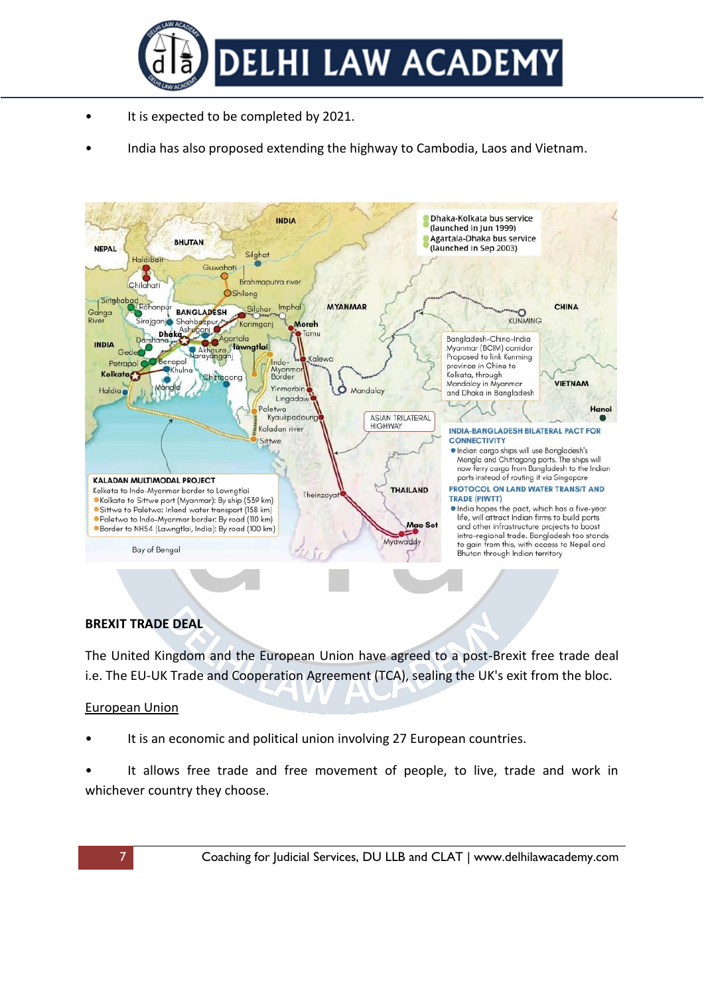

- It is expected to be completed by 2021.
- India has also proposed extending the highway to Cambodia, Laos and Vietnam.



#### **BREXIT TRADE DEAL**

The United Kingdom and the European Union have agreed to a post-Brexit free trade deal i.e. The EU-UK Trade and Cooperation Agreement (TCA), sealing the UK's exit from the bloc.

#### European Union

- It is an economic and political union involving 27 European countries.
- It allows free trade and free movement of people, to live, trade and work in whichever country they choose.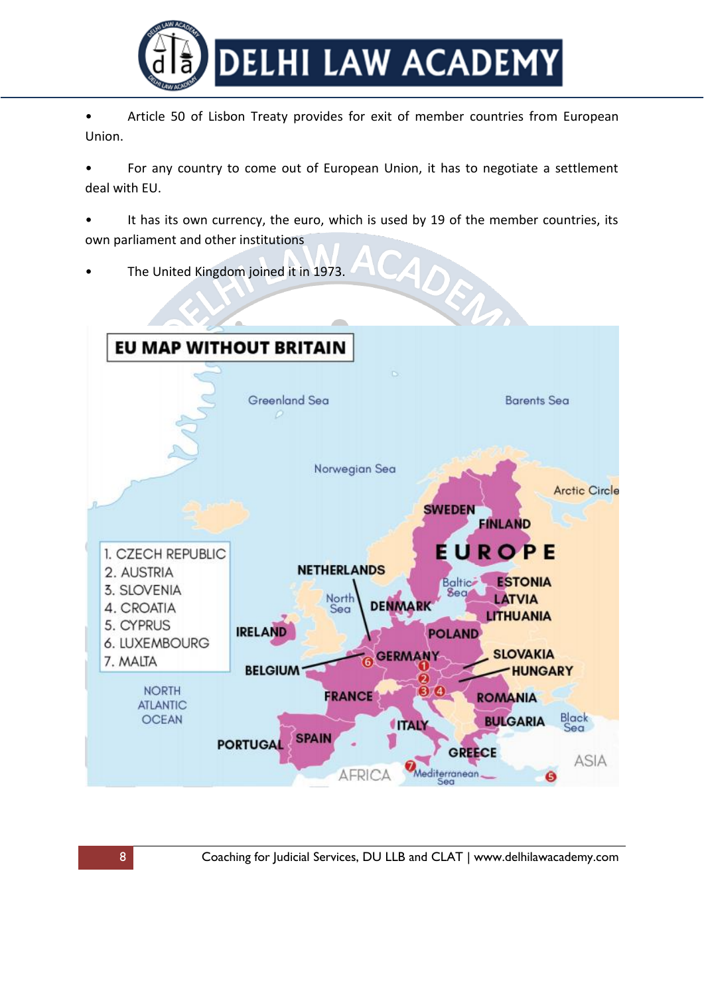

• Article 50 of Lisbon Treaty provides for exit of member countries from European Union.

• For any country to come out of European Union, it has to negotiate a settlement deal with EU.

It has its own currency, the euro, which is used by 19 of the member countries, its own parliament and other institutions

• The United Kingdom joined it in 1973.

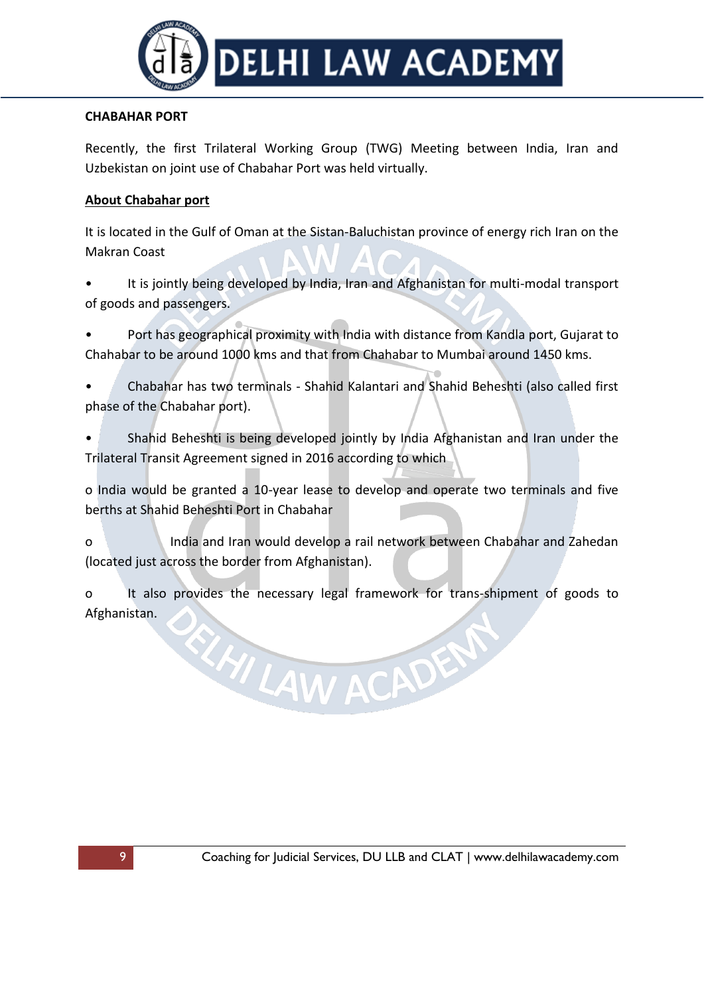

### **CHABAHAR PORT**

Recently, the first Trilateral Working Group (TWG) Meeting between India, Iran and Uzbekistan on joint use of Chabahar Port was held virtually.

### **About Chabahar port**

It is located in the Gulf of Oman at the Sistan-Baluchistan province of energy rich Iran on the Makran Coast

- It is jointly being developed by India, Iran and Afghanistan for multi-modal transport of goods and passengers.
- Port has geographical proximity with India with distance from Kandla port, Gujarat to Chahabar to be around 1000 kms and that from Chahabar to Mumbai around 1450 kms.
- Chabahar has two terminals Shahid Kalantari and Shahid Beheshti (also called first phase of the Chabahar port).
- Shahid Beheshti is being developed jointly by India Afghanistan and Iran under the Trilateral Transit Agreement signed in 2016 according to which
- o India would be granted a 10-year lease to develop and operate two terminals and five berths at Shahid Beheshti Port in Chabahar
- o India and Iran would develop a rail network between Chabahar and Zahedan (located just across the border from Afghanistan).
- o It also provides the necessary legal framework for trans-shipment of goods to Afghanistan.

ELAILAW ACADEM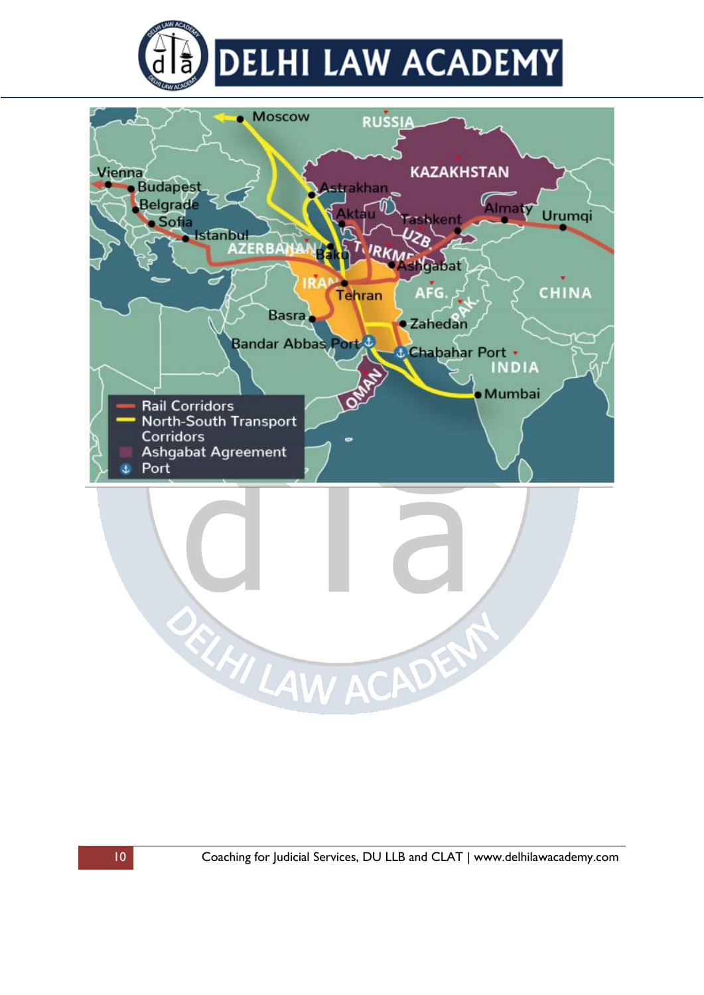

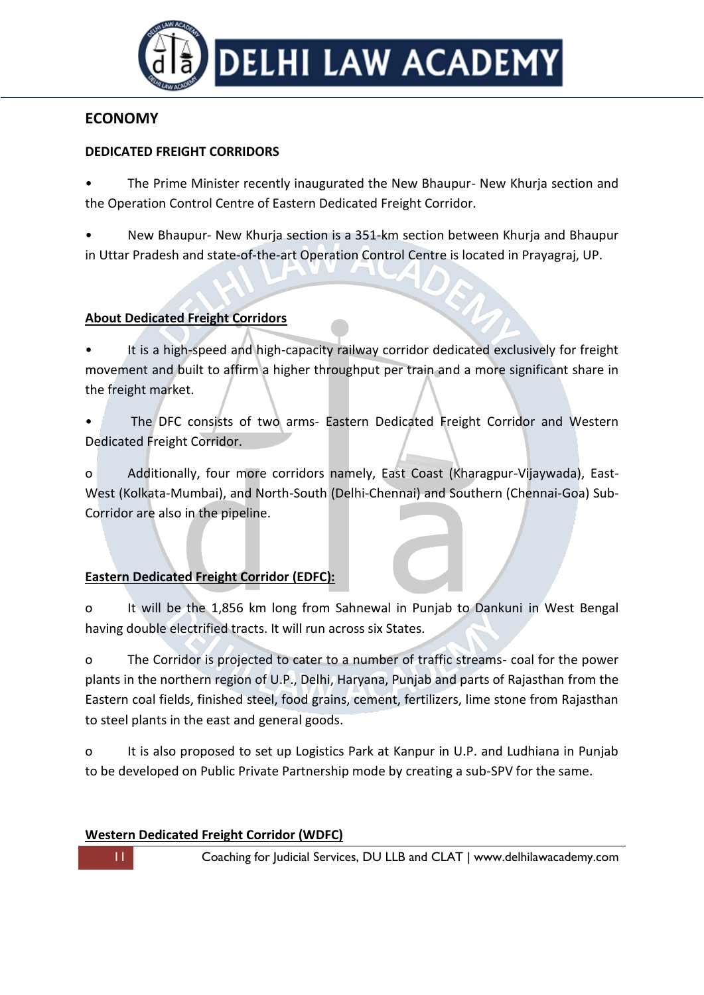

# **ECONOMY**

## **DEDICATED FREIGHT CORRIDORS**

• The Prime Minister recently inaugurated the New Bhaupur- New Khurja section and the Operation Control Centre of Eastern Dedicated Freight Corridor.

• New Bhaupur- New Khurja section is a 351-km section between Khurja and Bhaupur in Uttar Pradesh and state-of-the-art Operation Control Centre is located in Prayagraj, UP.

## **About Dedicated Freight Corridors**

It is a high-speed and high-capacity railway corridor dedicated exclusively for freight movement and built to affirm a higher throughput per train and a more significant share in the freight market.

• The DFC consists of two arms- Eastern Dedicated Freight Corridor and Western Dedicated Freight Corridor.

o Additionally, four more corridors namely, East Coast (Kharagpur-Vijaywada), East-West (Kolkata-Mumbai), and North-South (Delhi-Chennai) and Southern (Chennai-Goa) Sub-Corridor are also in the pipeline.

# **Eastern Dedicated Freight Corridor (EDFC):**

o It will be the 1,856 km long from Sahnewal in Punjab to Dankuni in West Bengal having double electrified tracts. It will run across six States.

o The Corridor is projected to cater to a number of traffic streams- coal for the power plants in the northern region of U.P., Delhi, Haryana, Punjab and parts of Rajasthan from the Eastern coal fields, finished steel, food grains, cement, fertilizers, lime stone from Rajasthan to steel plants in the east and general goods.

o It is also proposed to set up Logistics Park at Kanpur in U.P. and Ludhiana in Punjab to be developed on Public Private Partnership mode by creating a sub-SPV for the same.

## **Western Dedicated Freight Corridor (WDFC)**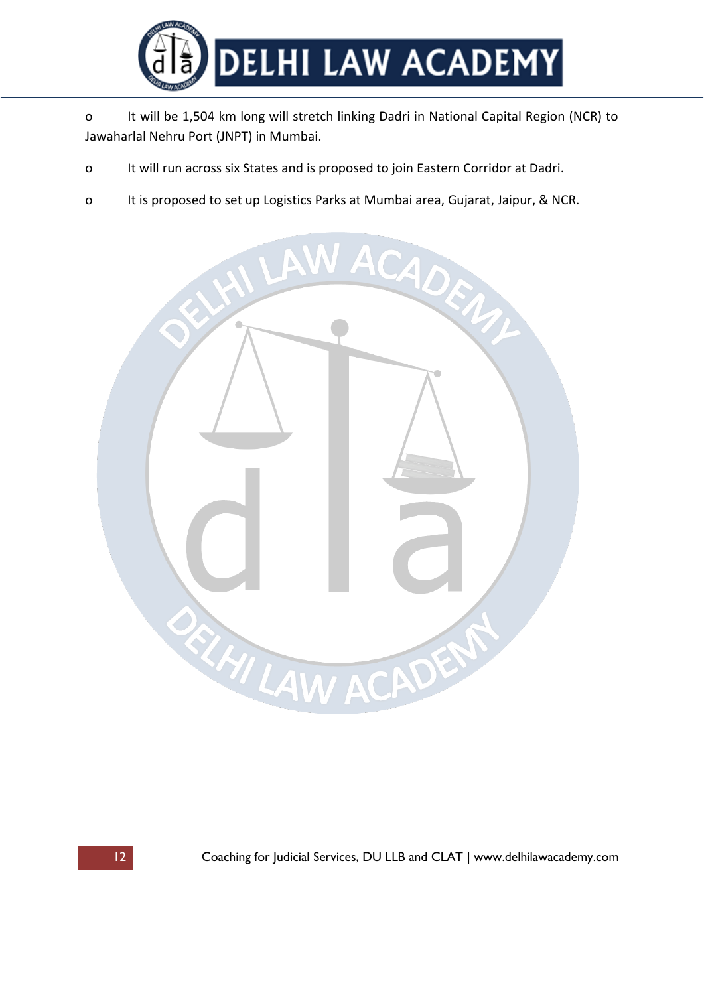

o It will be 1,504 km long will stretch linking Dadri in National Capital Region (NCR) to Jawaharlal Nehru Port (JNPT) in Mumbai.

- o It will run across six States and is proposed to join Eastern Corridor at Dadri.
- o It is proposed to set up Logistics Parks at Mumbai area, Gujarat, Jaipur, & NCR.

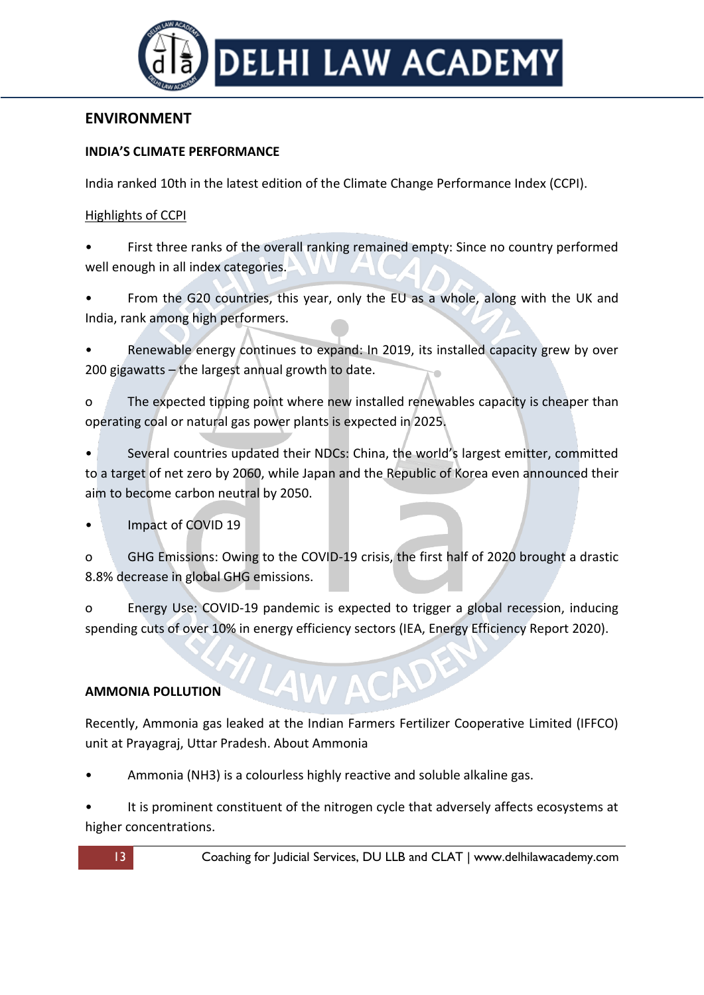

# **ENVIRONMENT**

### **INDIA'S CLIMATE PERFORMANCE**

India ranked 10th in the latest edition of the Climate Change Performance Index (CCPI).

#### Highlights of CCPI

• First three ranks of the overall ranking remained empty: Since no country performed well enough in all index categories.

• From the G20 countries, this year, only the EU as a whole, along with the UK and India, rank among high performers.

Renewable energy continues to expand: In 2019, its installed capacity grew by over 200 gigawatts – the largest annual growth to date.

o The expected tipping point where new installed renewables capacity is cheaper than operating coal or natural gas power plants is expected in 2025.

Several countries updated their NDCs: China, the world's largest emitter, committed to a target of net zero by 2060, while Japan and the Republic of Korea even announced their aim to become carbon neutral by 2050.

• Impact of COVID 19

o GHG Emissions: Owing to the COVID-19 crisis, the first half of 2020 brought a drastic 8.8% decrease in global GHG emissions.

o Energy Use: COVID-19 pandemic is expected to trigger a global recession, inducing spending cuts of over 10% in energy efficiency sectors (IEA, Energy Efficiency Report 2020).

## **AMMONIA POLLUTION**

Recently, Ammonia gas leaked at the Indian Farmers Fertilizer Cooperative Limited (IFFCO) unit at Prayagraj, Uttar Pradesh. About Ammonia

• Ammonia (NH3) is a colourless highly reactive and soluble alkaline gas.

It is prominent constituent of the nitrogen cycle that adversely affects ecosystems at higher concentrations.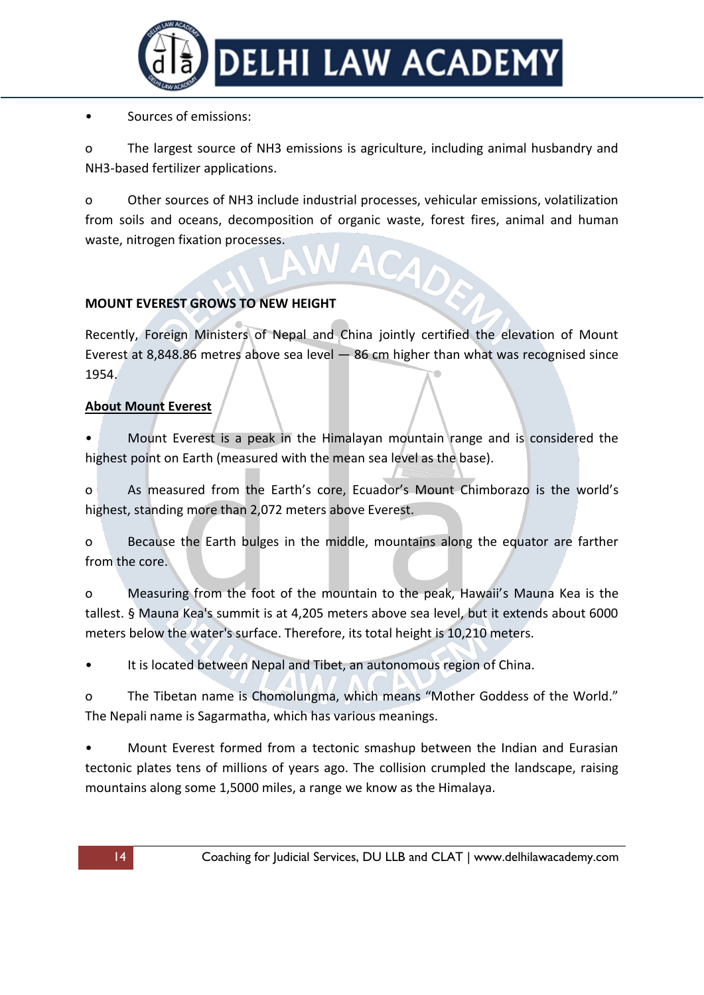

### • Sources of emissions:

o The largest source of NH3 emissions is agriculture, including animal husbandry and NH3-based fertilizer applications.

o Other sources of NH3 include industrial processes, vehicular emissions, volatilization from soils and oceans, decomposition of organic waste, forest fires, animal and human waste, nitrogen fixation processes.

## **MOUNT EVEREST GROWS TO NEW HEIGHT**

Recently, Foreign Ministers of Nepal and China jointly certified the elevation of Mount Everest at 8,848.86 metres above sea level — 86 cm higher than what was recognised since 1954.

## **About Mount Everest**

• Mount Everest is a peak in the Himalayan mountain range and is considered the highest point on Earth (measured with the mean sea level as the base).

o As measured from the Earth's core, Ecuador's Mount Chimborazo is the world's highest, standing more than 2,072 meters above Everest.

o Because the Earth bulges in the middle, mountains along the equator are farther from the core.

o Measuring from the foot of the mountain to the peak, Hawaii's Mauna Kea is the tallest. § Mauna Kea's summit is at 4,205 meters above sea level, but it extends about 6000 meters below the water's surface. Therefore, its total height is 10,210 meters.

It is located between Nepal and Tibet, an autonomous region of China.

o The Tibetan name is Chomolungma, which means "Mother Goddess of the World." The Nepali name is Sagarmatha, which has various meanings.

• Mount Everest formed from a tectonic smashup between the Indian and Eurasian tectonic plates tens of millions of years ago. The collision crumpled the landscape, raising mountains along some 1,5000 miles, a range we know as the Himalaya.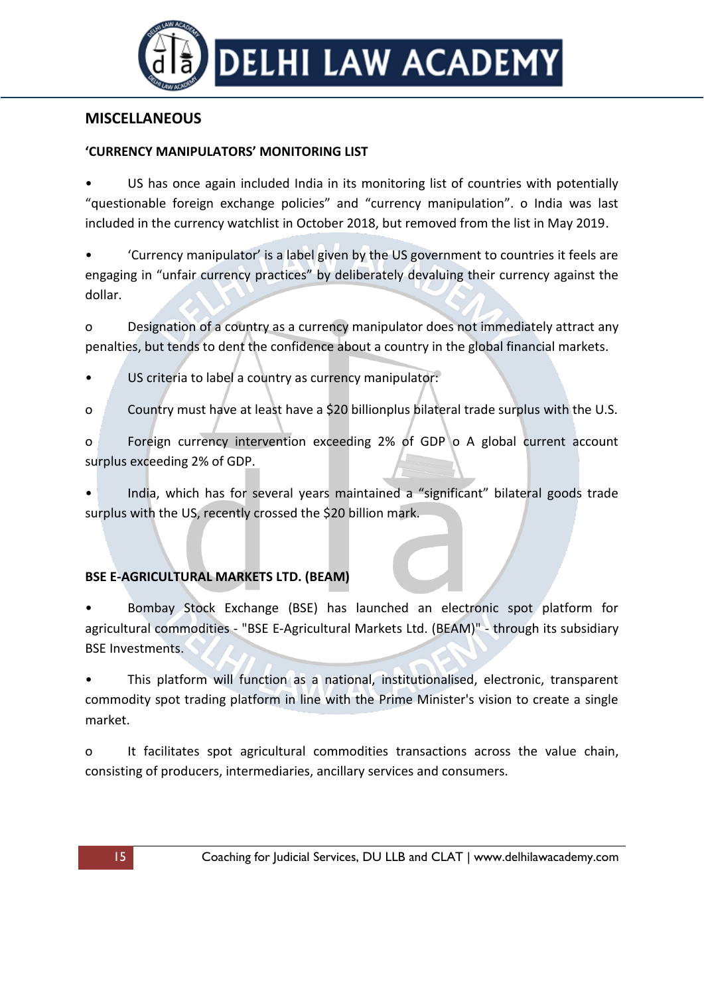

# **MISCELLANEOUS**

### **'CURRENCY MANIPULATORS' MONITORING LIST**

US has once again included India in its monitoring list of countries with potentially "questionable foreign exchange policies" and "currency manipulation". o India was last included in the currency watchlist in October 2018, but removed from the list in May 2019.

• 'Currency manipulator' is a label given by the US government to countries it feels are engaging in "unfair currency practices" by deliberately devaluing their currency against the dollar.

o Designation of a country as a currency manipulator does not immediately attract any penalties, but tends to dent the confidence about a country in the global financial markets.

- US criteria to label a country as currency manipulator:
- o Country must have at least have a \$20 billionplus bilateral trade surplus with the U.S.

o Foreign currency intervention exceeding 2% of GDP o A global current account surplus exceeding 2% of GDP.

• India, which has for several years maintained a "significant" bilateral goods trade surplus with the US, recently crossed the \$20 billion mark.

## **BSE E-AGRICULTURAL MARKETS LTD. (BEAM)**

• Bombay Stock Exchange (BSE) has launched an electronic spot platform for agricultural commodities - "BSE E-Agricultural Markets Ltd. (BEAM)" - through its subsidiary BSE Investments.

• This platform will function as a national, institutionalised, electronic, transparent commodity spot trading platform in line with the Prime Minister's vision to create a single market.

o It facilitates spot agricultural commodities transactions across the value chain, consisting of producers, intermediaries, ancillary services and consumers.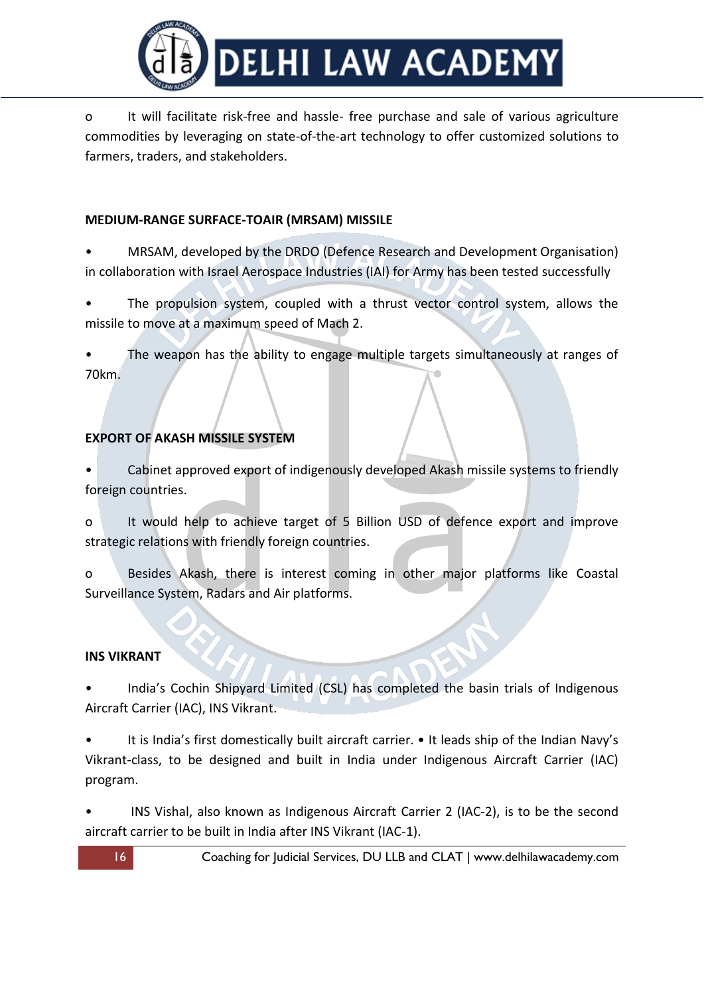

o It will facilitate risk-free and hassle- free purchase and sale of various agriculture commodities by leveraging on state-of-the-art technology to offer customized solutions to farmers, traders, and stakeholders.

### **MEDIUM-RANGE SURFACE-TOAIR (MRSAM) MISSILE**

- MRSAM, developed by the DRDO (Defence Research and Development Organisation) in collaboration with Israel Aerospace Industries (IAI) for Army has been tested successfully
- The propulsion system, coupled with a thrust vector control system, allows the missile to move at a maximum speed of Mach 2.

The weapon has the ability to engage multiple targets simultaneously at ranges of 70km.

## **EXPORT OF AKASH MISSILE SYSTEM**

• Cabinet approved export of indigenously developed Akash missile systems to friendly foreign countries.

o It would help to achieve target of 5 Billion USD of defence export and improve strategic relations with friendly foreign countries.

o Besides Akash, there is interest coming in other major platforms like Coastal Surveillance System, Radars and Air platforms.

#### **INS VIKRANT**

• India's Cochin Shipyard Limited (CSL) has completed the basin trials of Indigenous Aircraft Carrier (IAC), INS Vikrant.

• It is India's first domestically built aircraft carrier. • It leads ship of the Indian Navy's Vikrant-class, to be designed and built in India under Indigenous Aircraft Carrier (IAC) program.

INS Vishal, also known as Indigenous Aircraft Carrier 2 (IAC-2), is to be the second aircraft carrier to be built in India after INS Vikrant (IAC-1).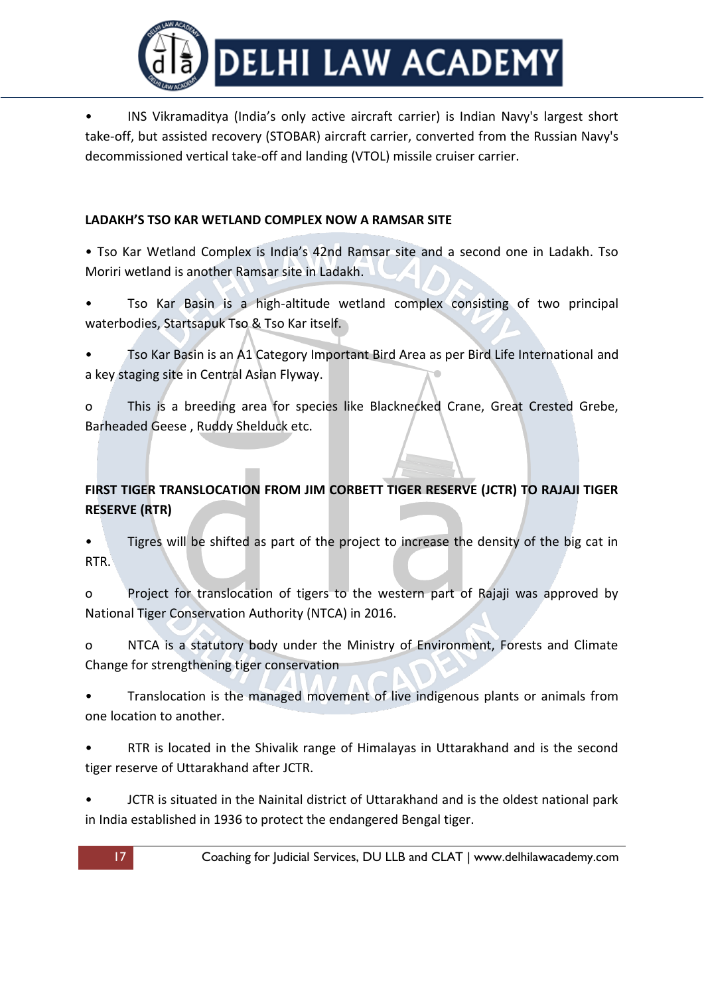

• INS Vikramaditya (India's only active aircraft carrier) is Indian Navy's largest short take-off, but assisted recovery (STOBAR) aircraft carrier, converted from the Russian Navy's decommissioned vertical take-off and landing (VTOL) missile cruiser carrier.

## **LADAKH'S TSO KAR WETLAND COMPLEX NOW A RAMSAR SITE**

• Tso Kar Wetland Complex is India's 42nd Ramsar site and a second one in Ladakh. Tso Moriri wetland is another Ramsar site in Ladakh.

- Tso Kar Basin is a high-altitude wetland complex consisting of two principal waterbodies, Startsapuk Tso & Tso Kar itself.
- Tso Kar Basin is an A1 Category Important Bird Area as per Bird Life International and a key staging site in Central Asian Flyway.

o This is a breeding area for species like Blacknecked Crane, Great Crested Grebe, Barheaded Geese , Ruddy Shelduck etc.

# **FIRST TIGER TRANSLOCATION FROM JIM CORBETT TIGER RESERVE (JCTR) TO RAJAJI TIGER RESERVE (RTR)**

• Tigres will be shifted as part of the project to increase the density of the big cat in RTR.

o Project for translocation of tigers to the western part of Rajaji was approved by National Tiger Conservation Authority (NTCA) in 2016.

o NTCA is a statutory body under the Ministry of Environment, Forests and Climate Change for strengthening tiger conservation

• Translocation is the managed movement of live indigenous plants or animals from one location to another.

• RTR is located in the Shivalik range of Himalayas in Uttarakhand and is the second tiger reserve of Uttarakhand after JCTR.

• JCTR is situated in the Nainital district of Uttarakhand and is the oldest national park in India established in 1936 to protect the endangered Bengal tiger.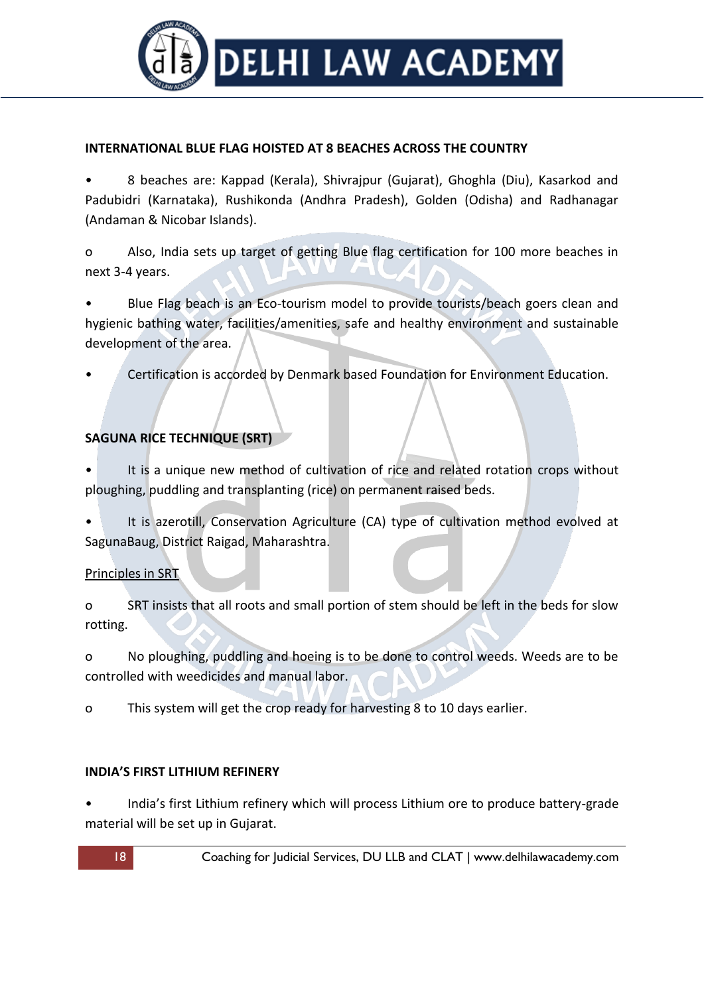

#### **INTERNATIONAL BLUE FLAG HOISTED AT 8 BEACHES ACROSS THE COUNTRY**

• 8 beaches are: Kappad (Kerala), Shivrajpur (Gujarat), Ghoghla (Diu), Kasarkod and Padubidri (Karnataka), Rushikonda (Andhra Pradesh), Golden (Odisha) and Radhanagar (Andaman & Nicobar Islands).

o Also, India sets up target of getting Blue flag certification for 100 more beaches in next 3-4 years.

• Blue Flag beach is an Eco-tourism model to provide tourists/beach goers clean and hygienic bathing water, facilities/amenities, safe and healthy environment and sustainable development of the area.

• Certification is accorded by Denmark based Foundation for Environment Education.

## **SAGUNA RICE TECHNIQUE (SRT)**

- It is a unique new method of cultivation of rice and related rotation crops without ploughing, puddling and transplanting (rice) on permanent raised beds.
- It is azerotill, Conservation Agriculture (CA) type of cultivation method evolved at SagunaBaug, District Raigad, Maharashtra.

#### Principles in SRT

o SRT insists that all roots and small portion of stem should be left in the beds for slow rotting.

o No ploughing, puddling and hoeing is to be done to control weeds. Weeds are to be controlled with weedicides and manual labor.

o This system will get the crop ready for harvesting 8 to 10 days earlier.

## **INDIA'S FIRST LITHIUM REFINERY**

• India's first Lithium refinery which will process Lithium ore to produce battery-grade material will be set up in Gujarat.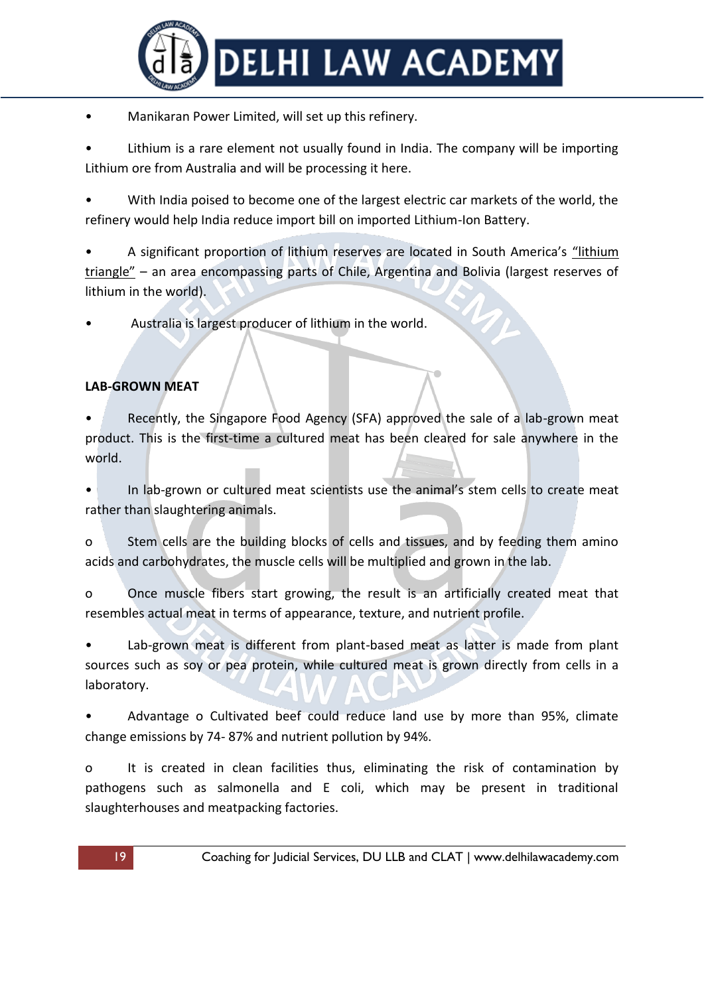

• Manikaran Power Limited, will set up this refinery.

Lithium is a rare element not usually found in India. The company will be importing Lithium ore from Australia and will be processing it here.

With India poised to become one of the largest electric car markets of the world, the refinery would help India reduce import bill on imported Lithium-Ion Battery.

• A significant proportion of lithium reserves are located in South America's "lithium triangle" – an area encompassing parts of Chile, Argentina and Bolivia (largest reserves of lithium in the world).

• Australia is largest producer of lithium in the world.

### **LAB-GROWN MEAT**

Recently, the Singapore Food Agency (SFA) approved the sale of a lab-grown meat product. This is the first-time a cultured meat has been cleared for sale anywhere in the world.

In lab-grown or cultured meat scientists use the animal's stem cells to create meat rather than slaughtering animals.

o Stem cells are the building blocks of cells and tissues, and by feeding them amino acids and carbohydrates, the muscle cells will be multiplied and grown in the lab.

o Once muscle fibers start growing, the result is an artificially created meat that resembles actual meat in terms of appearance, texture, and nutrient profile.

Lab-grown meat is different from plant-based meat as latter is made from plant sources such as soy or pea protein, while cultured meat is grown directly from cells in a laboratory.

• Advantage o Cultivated beef could reduce land use by more than 95%, climate change emissions by 74- 87% and nutrient pollution by 94%.

o It is created in clean facilities thus, eliminating the risk of contamination by pathogens such as salmonella and E coli, which may be present in traditional slaughterhouses and meatpacking factories.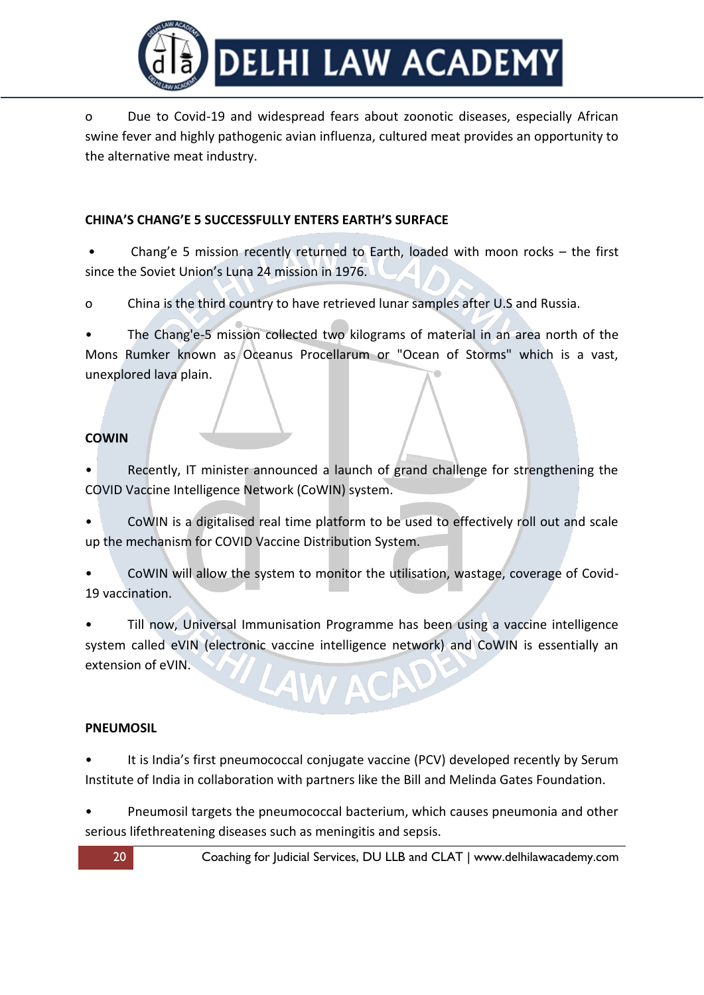

o Due to Covid-19 and widespread fears about zoonotic diseases, especially African swine fever and highly pathogenic avian influenza, cultured meat provides an opportunity to the alternative meat industry.

### **CHINA'S CHANG'E 5 SUCCESSFULLY ENTERS EARTH'S SURFACE**

• Chang'e 5 mission recently returned to Earth, loaded with moon rocks – the first since the Soviet Union's Luna 24 mission in 1976.

o China is the third country to have retrieved lunar samples after U.S and Russia.

The Chang'e-5 mission collected two kilograms of material in an area north of the Mons Rumker known as Oceanus Procellarum or "Ocean of Storms" which is a vast, unexplored lava plain.

#### **COWIN**

Recently, IT minister announced a launch of grand challenge for strengthening the COVID Vaccine Intelligence Network (CoWIN) system.

• CoWIN is a digitalised real time platform to be used to effectively roll out and scale up the mechanism for COVID Vaccine Distribution System.

• CoWIN will allow the system to monitor the utilisation, wastage, coverage of Covid-19 vaccination.

• Till now, Universal Immunisation Programme has been using a vaccine intelligence system called eVIN (electronic vaccine intelligence network) and CoWIN is essentially an extension of eVIN.

#### **PNEUMOSIL**

It is India's first pneumococcal conjugate vaccine (PCV) developed recently by Serum Institute of India in collaboration with partners like the Bill and Melinda Gates Foundation.

• Pneumosil targets the pneumococcal bacterium, which causes pneumonia and other serious lifethreatening diseases such as meningitis and sepsis.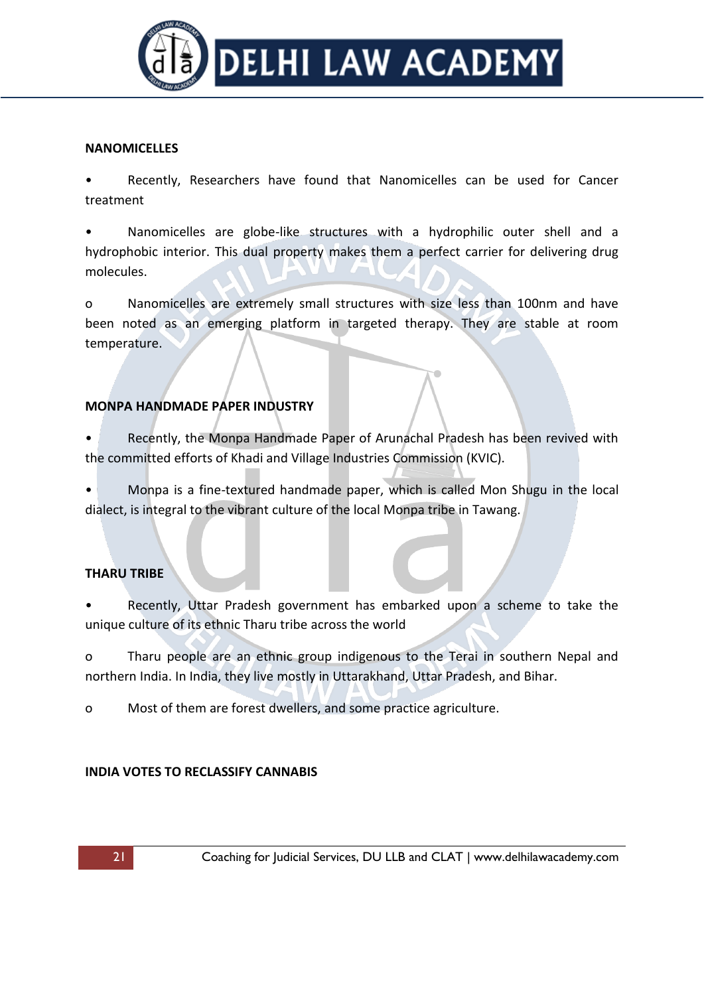

#### **NANOMICELLES**

Recently, Researchers have found that Nanomicelles can be used for Cancer treatment

• Nanomicelles are globe-like structures with a hydrophilic outer shell and a hydrophobic interior. This dual property makes them a perfect carrier for delivering drug molecules.

o Nanomicelles are extremely small structures with size less than 100nm and have been noted as an emerging platform in targeted therapy. They are stable at room temperature.

## **MONPA HANDMADE PAPER INDUSTRY**

• Recently, the Monpa Handmade Paper of Arunachal Pradesh has been revived with the committed efforts of Khadi and Village Industries Commission (KVIC).

• Monpa is a fine-textured handmade paper, which is called Mon Shugu in the local dialect, is integral to the vibrant culture of the local Monpa tribe in Tawang.

## **THARU TRIBE**

Recently, Uttar Pradesh government has embarked upon a scheme to take the unique culture of its ethnic Tharu tribe across the world

o Tharu people are an ethnic group indigenous to the Terai in southern Nepal and northern India. In India, they live mostly in Uttarakhand, Uttar Pradesh, and Bihar.

o Most of them are forest dwellers, and some practice agriculture.

#### **INDIA VOTES TO RECLASSIFY CANNABIS**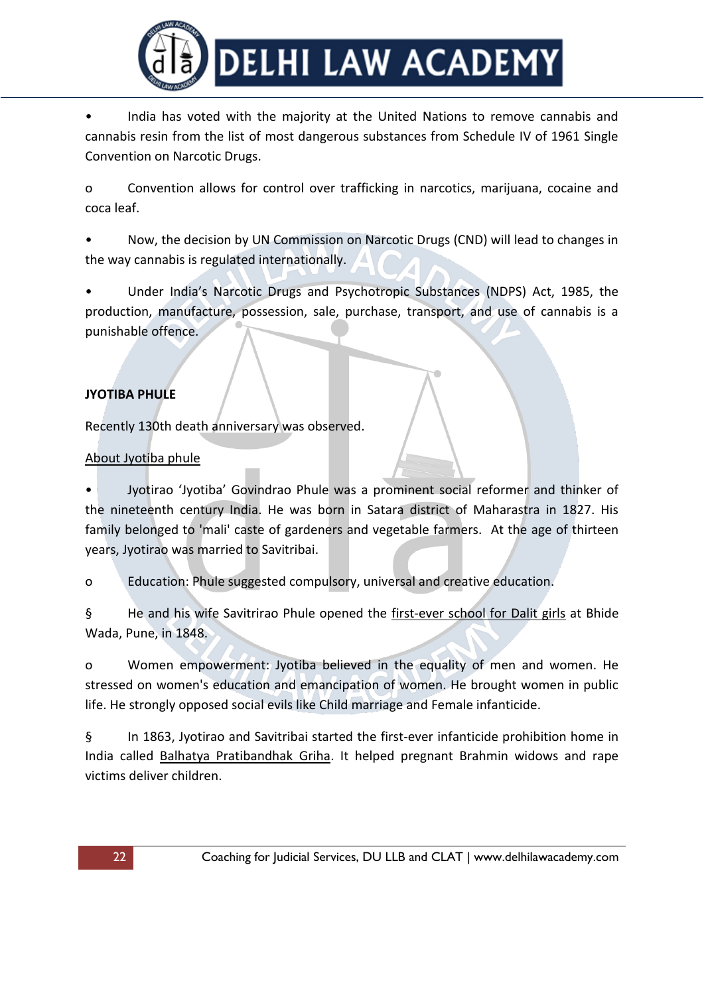

• India has voted with the majority at the United Nations to remove cannabis and cannabis resin from the list of most dangerous substances from Schedule IV of 1961 Single Convention on Narcotic Drugs.

o Convention allows for control over trafficking in narcotics, marijuana, cocaine and coca leaf.

• Now, the decision by UN Commission on Narcotic Drugs (CND) will lead to changes in the way cannabis is regulated internationally.

• Under India's Narcotic Drugs and Psychotropic Substances (NDPS) Act, 1985, the production, manufacture, possession, sale, purchase, transport, and use of cannabis is a punishable offence.

# **JYOTIBA PHULE**

Recently 130th death anniversary was observed.

### About Jyotiba phule

• Jyotirao 'Jyotiba' Govindrao Phule was a prominent social reformer and thinker of the nineteenth century India. He was born in Satara district of Maharastra in 1827. His family belonged to 'mali' caste of gardeners and vegetable farmers. At the age of thirteen years, Jyotirao was married to Savitribai.

o Education: Phule suggested compulsory, universal and creative education.

§ He and his wife Savitrirao Phule opened the first-ever school for Dalit girls at Bhide Wada, Pune, in 1848.

o Women empowerment: Jyotiba believed in the equality of men and women. He stressed on women's education and emancipation of women. He brought women in public life. He strongly opposed social evils like Child marriage and Female infanticide.

§ In 1863, Jyotirao and Savitribai started the first-ever infanticide prohibition home in India called Balhatya Pratibandhak Griha. It helped pregnant Brahmin widows and rape victims deliver children.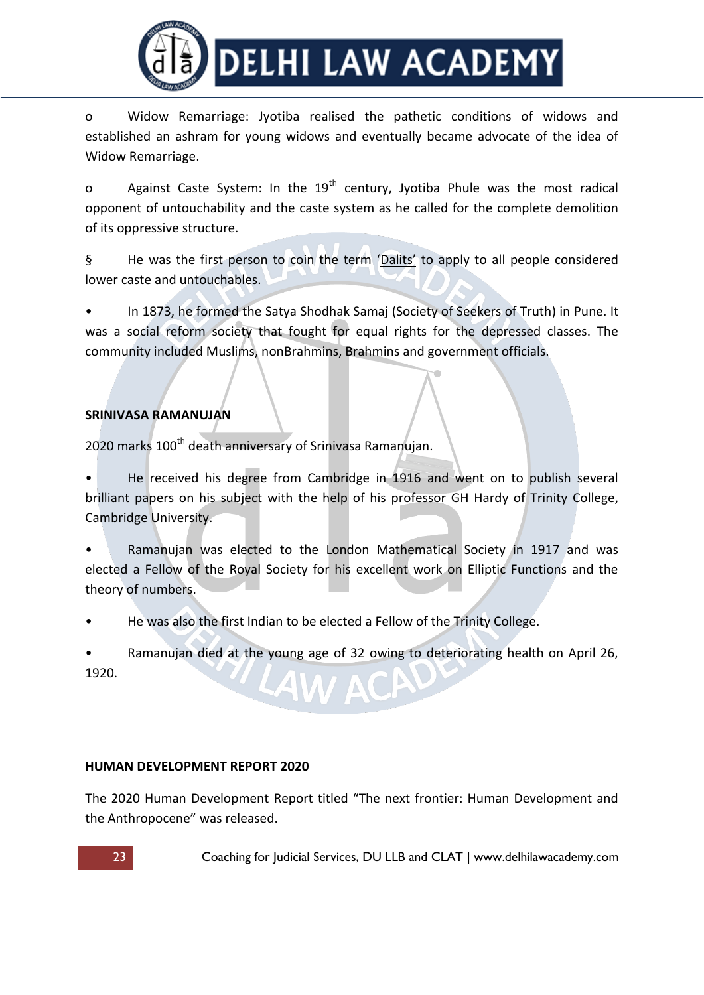

o Widow Remarriage: Jyotiba realised the pathetic conditions of widows and established an ashram for young widows and eventually became advocate of the idea of Widow Remarriage.

o Against Caste System: In the  $19<sup>th</sup>$  century, Jyotiba Phule was the most radical opponent of untouchability and the caste system as he called for the complete demolition of its oppressive structure.

§ He was the first person to coin the term 'Dalits' to apply to all people considered lower caste and untouchables.

In 1873, he formed the Satya Shodhak Samaj (Society of Seekers of Truth) in Pune. It was a social reform society that fought for equal rights for the depressed classes. The community included Muslims, nonBrahmins, Brahmins and government officials.

# **SRINIVASA RAMANUJAN**

2020 marks 100<sup>th</sup> death anniversary of Srinivasa Ramanujan.

• He received his degree from Cambridge in 1916 and went on to publish several brilliant papers on his subject with the help of his professor GH Hardy of Trinity College, Cambridge University.

• Ramanujan was elected to the London Mathematical Society in 1917 and was elected a Fellow of the Royal Society for his excellent work on Elliptic Functions and the theory of numbers.

• He was also the first Indian to be elected a Fellow of the Trinity College.

• Ramanujan died at the young age of 32 owing to deteriorating health on April 26, 1920. AW ACP

## **HUMAN DEVELOPMENT REPORT 2020**

The 2020 Human Development Report titled "The next frontier: Human Development and the Anthropocene" was released.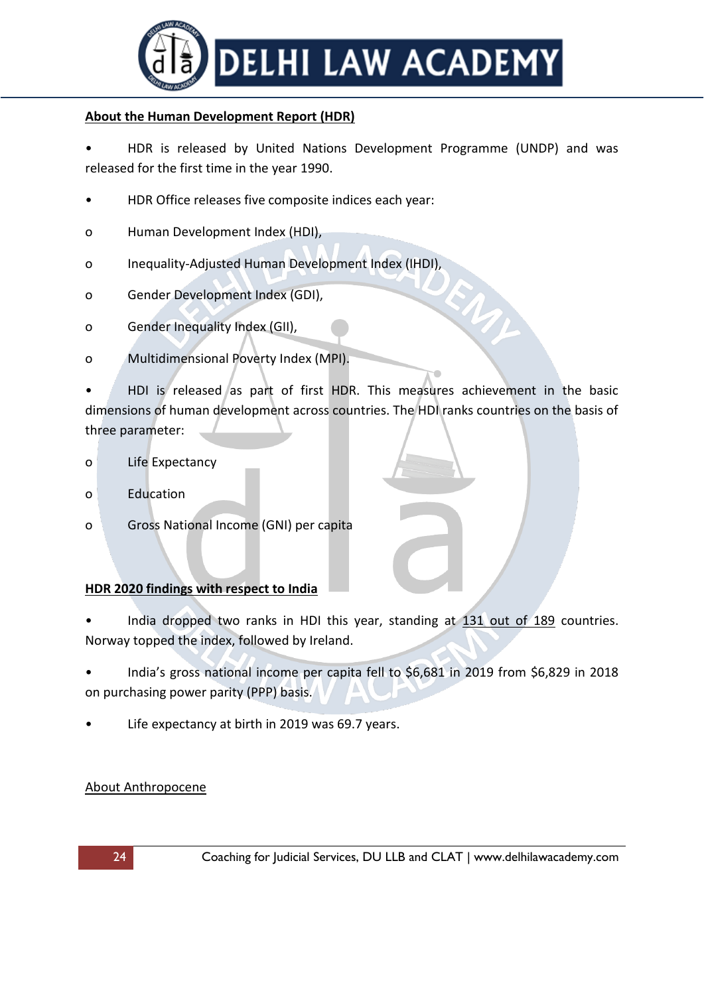

### **About the Human Development Report (HDR)**

• HDR is released by United Nations Development Programme (UNDP) and was released for the first time in the year 1990.

- HDR Office releases five composite indices each year:
- o Human Development Index (HDI),
- o Inequality-Adjusted Human Development Index (IHDI),
- o Gender Development Index (GDI),
- o Gender Inequality Index (GII),
- o Multidimensional Poverty Index (MPI).

• HDI is released as part of first HDR. This measures achievement in the basic dimensions of human development across countries. The HDI ranks countries on the basis of three parameter:

- o Life Expectancy
- o Education
- o Gross National Income (GNI) per capita

#### **HDR 2020 findings with respect to India**

India dropped two ranks in HDI this year, standing at 131 out of 189 countries. Norway topped the index, followed by Ireland.

• India's gross national income per capita fell to \$6,681 in 2019 from \$6,829 in 2018 on purchasing power parity (PPP) basis.

Life expectancy at birth in 2019 was 69.7 years.

#### About Anthropocene